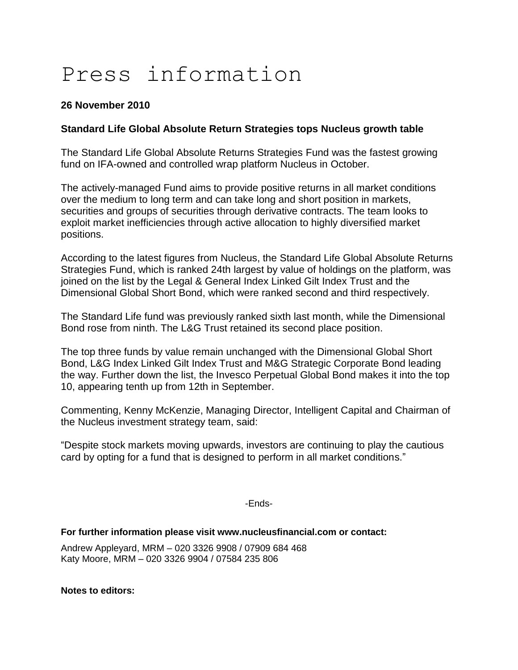## Press information

## **26 November 2010**

## **Standard Life Global Absolute Return Strategies tops Nucleus growth table**

The Standard Life Global Absolute Returns Strategies Fund was the fastest growing fund on IFA-owned and controlled wrap platform Nucleus in October.

The actively-managed Fund aims to provide positive returns in all market conditions over the medium to long term and can take long and short position in markets, securities and groups of securities through derivative contracts. The team looks to exploit market inefficiencies through active allocation to highly diversified market positions.

According to the latest figures from Nucleus, the Standard Life Global Absolute Returns Strategies Fund, which is ranked 24th largest by value of holdings on the platform, was joined on the list by the Legal & General Index Linked Gilt Index Trust and the Dimensional Global Short Bond, which were ranked second and third respectively.

The Standard Life fund was previously ranked sixth last month, while the Dimensional Bond rose from ninth. The L&G Trust retained its second place position.

The top three funds by value remain unchanged with the Dimensional Global Short Bond, L&G Index Linked Gilt Index Trust and M&G Strategic Corporate Bond leading the way. Further down the list, the Invesco Perpetual Global Bond makes it into the top 10, appearing tenth up from 12th in September.

Commenting, Kenny McKenzie, Managing Director, Intelligent Capital and Chairman of the Nucleus investment strategy team, said:

"Despite stock markets moving upwards, investors are continuing to play the cautious card by opting for a fund that is designed to perform in all market conditions."

-Ends-

**For further information please visit www.nucleusfinancial.com or contact:**

Andrew Appleyard, MRM – 020 3326 9908 / 07909 684 468 Katy Moore, MRM – 020 3326 9904 / 07584 235 806

**Notes to editors:**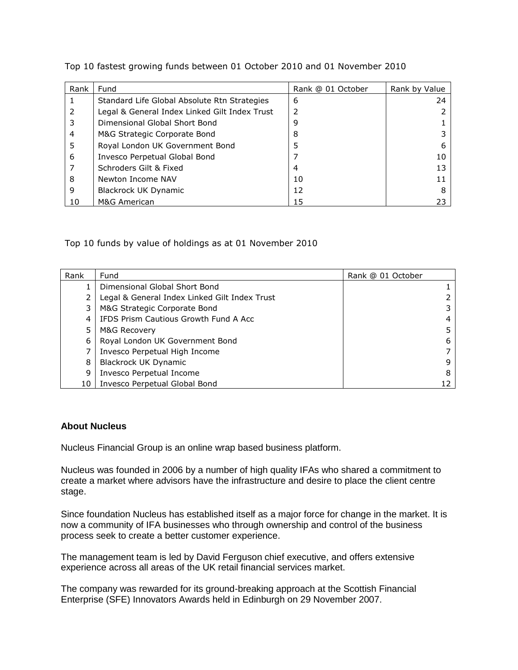| Rank | Fund                                          | Rank @ 01 October | Rank by Value |
|------|-----------------------------------------------|-------------------|---------------|
|      | Standard Life Global Absolute Rtn Strategies  | 6                 | 24            |
|      | Legal & General Index Linked Gilt Index Trust |                   |               |
| 3    | Dimensional Global Short Bond                 | q                 |               |
| 4    | M&G Strategic Corporate Bond                  | 8                 |               |
| 5    | Royal London UK Government Bond               |                   |               |
| 6    | Invesco Perpetual Global Bond                 |                   |               |
|      | Schroders Gilt & Fixed                        | 4                 |               |
| 8    | Newton Income NAV                             | 10                |               |
| 9    | Blackrock UK Dynamic                          | 12                |               |
| 10   | M&G American                                  | 15                |               |

Top 10 fastest growing funds between 01 October 2010 and 01 November 2010

Top 10 funds by value of holdings as at 01 November 2010

| Rank | Fund                                          | Rank @ 01 October |
|------|-----------------------------------------------|-------------------|
|      | Dimensional Global Short Bond                 |                   |
|      | Legal & General Index Linked Gilt Index Trust |                   |
| 3    | M&G Strategic Corporate Bond                  |                   |
| 4    | IFDS Prism Cautious Growth Fund A Acc         |                   |
| 5    | M&G Recovery                                  |                   |
| 6    | Royal London UK Government Bond               | 6                 |
|      | Invesco Perpetual High Income                 |                   |
| 8    | Blackrock UK Dynamic                          |                   |
| 9    | Invesco Perpetual Income                      | 8                 |
| 10   | Invesco Perpetual Global Bond                 |                   |

## **About Nucleus**

Nucleus Financial Group is an online wrap based business platform.

Nucleus was founded in 2006 by a number of high quality IFAs who shared a commitment to create a market where advisors have the infrastructure and desire to place the client centre stage.

Since foundation Nucleus has established itself as a major force for change in the market. It is now a community of IFA businesses who through ownership and control of the business process seek to create a better customer experience.

The management team is led by David Ferguson chief executive, and offers extensive experience across all areas of the UK retail financial services market.

The company was rewarded for its ground-breaking approach at the Scottish Financial Enterprise (SFE) Innovators Awards held in Edinburgh on 29 November 2007.